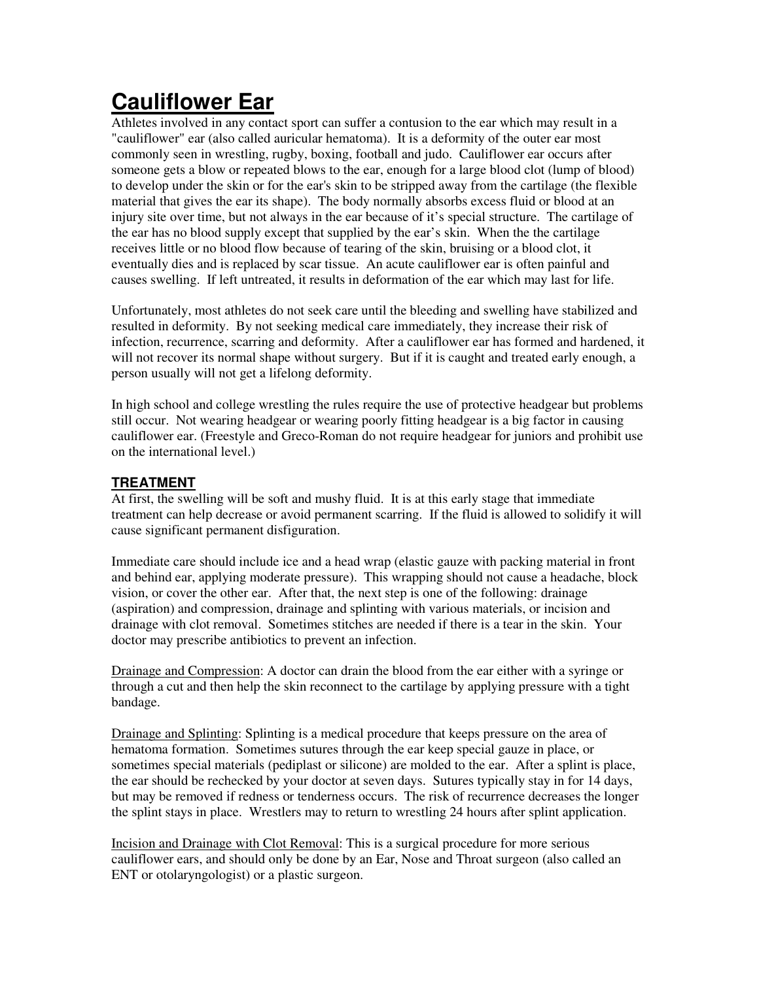# **Cauliflower Ear**

Athletes involved in any contact sport can suffer a contusion to the ear which may result in a "cauliflower" ear (also called auricular hematoma). It is a deformity of the outer ear most commonly seen in wrestling, rugby, boxing, football and judo. Cauliflower ear occurs after someone gets a blow or repeated blows to the ear, enough for a large blood clot (lump of blood) to develop under the skin or for the ear's skin to be stripped away from the cartilage (the flexible material that gives the ear its shape). The body normally absorbs excess fluid or blood at an injury site over time, but not always in the ear because of it's special structure. The cartilage of the ear has no blood supply except that supplied by the ear's skin. When the the cartilage receives little or no blood flow because of tearing of the skin, bruising or a blood clot, it eventually dies and is replaced by scar tissue. An acute cauliflower ear is often painful and causes swelling. If left untreated, it results in deformation of the ear which may last for life.

Unfortunately, most athletes do not seek care until the bleeding and swelling have stabilized and resulted in deformity. By not seeking medical care immediately, they increase their risk of infection, recurrence, scarring and deformity. After a cauliflower ear has formed and hardened, it will not recover its normal shape without surgery. But if it is caught and treated early enough, a person usually will not get a lifelong deformity.

In high school and college wrestling the rules require the use of protective headgear but problems still occur. Not wearing headgear or wearing poorly fitting headgear is a big factor in causing cauliflower ear. (Freestyle and Greco-Roman do not require headgear for juniors and prohibit use on the international level.)

# **TREATMENT**

At first, the swelling will be soft and mushy fluid. It is at this early stage that immediate treatment can help decrease or avoid permanent scarring. If the fluid is allowed to solidify it will cause significant permanent disfiguration.

Immediate care should include ice and a head wrap (elastic gauze with packing material in front and behind ear, applying moderate pressure). This wrapping should not cause a headache, block vision, or cover the other ear. After that, the next step is one of the following: drainage (aspiration) and compression, drainage and splinting with various materials, or incision and drainage with clot removal. Sometimes stitches are needed if there is a tear in the skin. Your doctor may prescribe antibiotics to prevent an infection.

Drainage and Compression: A doctor can drain the blood from the ear either with a syringe or through a cut and then help the skin reconnect to the cartilage by applying pressure with a tight bandage.

Drainage and Splinting: Splinting is a medical procedure that keeps pressure on the area of hematoma formation. Sometimes sutures through the ear keep special gauze in place, or sometimes special materials (pediplast or silicone) are molded to the ear. After a splint is place, the ear should be rechecked by your doctor at seven days. Sutures typically stay in for 14 days, but may be removed if redness or tenderness occurs. The risk of recurrence decreases the longer the splint stays in place. Wrestlers may to return to wrestling 24 hours after splint application.

Incision and Drainage with Clot Removal: This is a surgical procedure for more serious cauliflower ears, and should only be done by an Ear, Nose and Throat surgeon (also called an ENT or otolaryngologist) or a plastic surgeon.